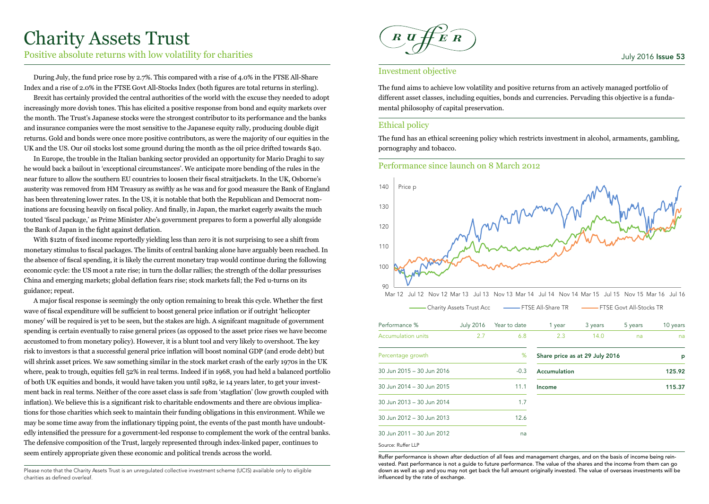# Charity Assets Trust

Positive absolute returns with low volatility for charities

During July, the fund price rose by 2.7%. This compared with a rise of 4.0% in the FTSE All-Share Index and a rise of 2.0% in the FTSE Govt All-Stocks Index (both figures are total returns in sterling).

Brexit has certainly provided the central authorities of the world with the excuse they needed to adopt increasingly more dovish tones. This has elicited a positive response from bond and equity markets over the month. The Trust's Japanese stocks were the strongest contributor to its performance and the banks and insurance companies were the most sensitive to the Japanese equity rally, producing double digit returns. Gold and bonds were once more positive contributors, as were the majority of our equities in the UK and the US. Our oil stocks lost some ground during the month as the oil price drifted towards \$40.

In Europe, the trouble in the Italian banking sector provided an opportunity for Mario Draghi to say he would back a bailout in 'exceptional circumstances'. We anticipate more bending of the rules in the near future to allow the southern EU countries to loosen their fiscal straitjackets. In the UK, Osborne's austerity was removed from HM Treasury as swiftly as he was and for good measure the Bank of England has been threatening lower rates. In the US, it is notable that both the Republican and Democrat nominations are focusing heavily on fiscal policy. And finally, in Japan, the market eagerly awaits the much touted 'fiscal package,' as Prime Minister Abe's government prepares to form a powerful ally alongside the Bank of Japan in the fight against deflation.

With \$12tn of fixed income reportedly yielding less than zero it is not surprising to see a shift from monetary stimulus to fiscal packages. The limits of central banking alone have arguably been reached. In the absence of fiscal spending, it is likely the current monetary trap would continue during the following economic cycle: the US moot a rate rise; in turn the dollar rallies; the strength of the dollar pressurises China and emerging markets; global deflation fears rise; stock markets fall; the Fed u-turns on its guidance; repeat.

A major fiscal response is seemingly the only option remaining to break this cycle. Whether the first wave of fiscal expenditure will be sufficient to boost general price inflation or if outright 'helicopter money' will be required is yet to be seen, but the stakes are high. A signifcant magnitude of government spending is certain eventually to raise general prices (as opposed to the asset price rises we have become accustomed to from monetary policy). However, it is a blunt tool and very likely to overshoot. The key risk to investors is that a successful general price inflation will boost nominal GDP (and erode debt) but will shrink asset prices. We saw something similar in the stock market crash of the early 1970s in the UK where, peak to trough, equities fell 52% in real terms. Indeed if in 1968, you had held a balanced portfolio of both UK equities and bonds, it would have taken you until 1982, ie 14 years later, to get your investment back in real terms. Neither of the core asset class is safe from 'stagflation' (low growth coupled with inflation). We believe this is a significant risk to charitable endowments and there are obvious implications for those charities which seek to maintain their funding obligations in this environment. While we may be some time away from the inflationary tipping point, the events of the past month have undoubtedly intensified the pressure for a government-led response to complement the work of the central banks. The defensive composition of the Trust, largely represented through index-linked paper, continues to seem entirely appropriate given these economic and political trends across the world.

Please note that the Charity Assets Trust is an unregulated collective investment scheme (UCIS) available only to eligible charities as defined overleaf.



# July 2016 Issue 53

# Investment objective

The fund aims to achieve low volatility and positive returns from an actively managed portfolio of different asset classes, including equities, bonds and currencies. Pervading this objective is a fundamental philosophy of capital preservation.

# Ethical policy

The fund has an ethical screening policy which restricts investment in alcohol, armaments, gambling, pornography and tobacco.

# Performance since launch on 8 March 2012



Mar 12 Jul 12 Nov 12 Mar 13 Jul 13 Nov 13 Mar 14 Jul 14 Nov 14 Mar 15 Jul 15 Nov 15 Mar 16 Jul 16

|                           | <b>Charity Assets Trust Acc</b> |              | <b>EXALL-Share TR</b> |                                | <b>EXAMPLE COOL</b> All-Stocks TR |          |
|---------------------------|---------------------------------|--------------|-----------------------|--------------------------------|-----------------------------------|----------|
| Performance %             | <b>July 2016</b>                | Year to date | 1 year                | 3 years                        | 5 years                           | 10 years |
| Accumulation units        | 2.7                             | 6.8          | 2.3                   | 14.0                           | na                                | na       |
| Percentage growth         |                                 | %            |                       | Share price as at 29 July 2016 |                                   | p        |
| 30 Jun 2015 - 30 Jun 2016 |                                 | $-0.3$       | Accumulation          |                                |                                   | 125.92   |
| 30 Jun 2014 - 30 Jun 2015 |                                 | 11.1         | Income                |                                |                                   | 115.37   |
| 30 Jun 2013 - 30 Jun 2014 |                                 | 1.7          |                       |                                |                                   |          |
| 30 Jun 2012 - 30 Jun 2013 |                                 | 12.6         |                       |                                |                                   |          |
| 30 Jun 2011 - 30 Jun 2012 |                                 | na           |                       |                                |                                   |          |
| Source: Ruffer LLP        |                                 |              |                       |                                |                                   |          |

Ruffer performance is shown after deduction of all fees and management charges, and on the basis of income being reinvested. Past performance is not a guide to future performance. The value of the shares and the income from them can go down as well as up and you may not get back the full amount originally invested. The value of overseas investments will be influenced by the rate of exchange.